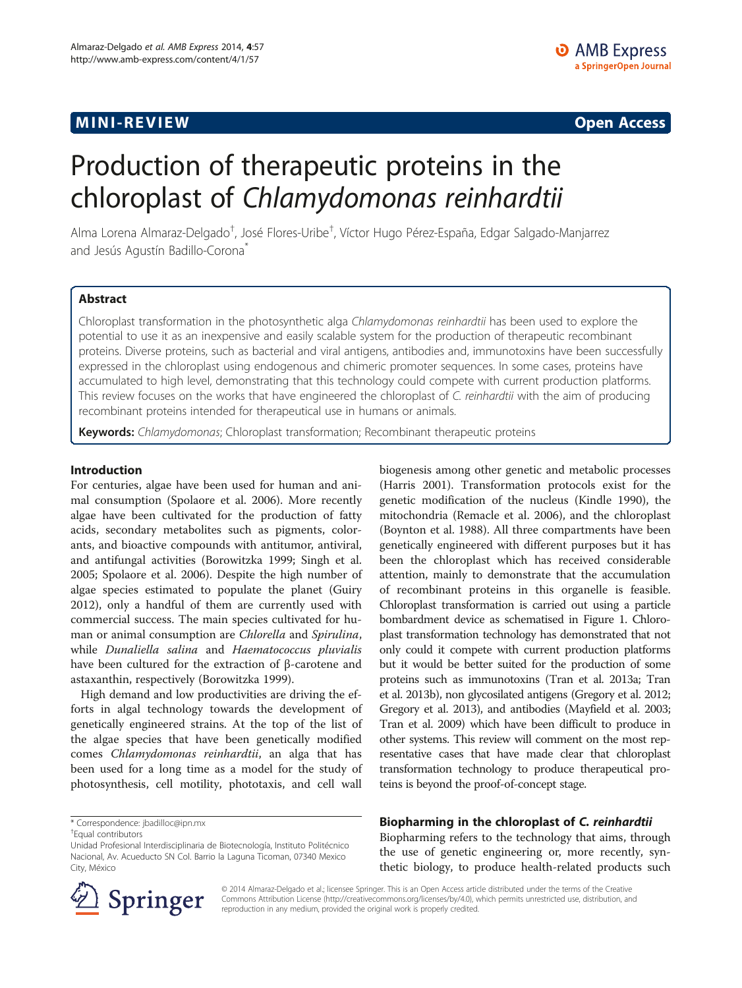# **MINI-REVIEW CONSULTATION CONSULTATION CONSULTATION COPEN ACCESS**

# Production of therapeutic proteins in the chloroplast of Chlamydomonas reinhardtii

Alma Lorena Almaraz-Delgado<sup>†</sup>, José Flores-Uribe<sup>†</sup>, Víctor Hugo Pérez-España, Edgar Salgado-Manjarrez and Jesús Agustín Badillo-Corona<sup>\*</sup>

# Abstract

Chloroplast transformation in the photosynthetic alga Chlamydomonas reinhardtii has been used to explore the potential to use it as an inexpensive and easily scalable system for the production of therapeutic recombinant proteins. Diverse proteins, such as bacterial and viral antigens, antibodies and, immunotoxins have been successfully expressed in the chloroplast using endogenous and chimeric promoter sequences. In some cases, proteins have accumulated to high level, demonstrating that this technology could compete with current production platforms. This review focuses on the works that have engineered the chloroplast of C. reinhardtii with the aim of producing recombinant proteins intended for therapeutical use in humans or animals.

Keywords: Chlamydomonas; Chloroplast transformation; Recombinant therapeutic proteins

## Introduction

For centuries, algae have been used for human and animal consumption (Spolaore et al. [2006\)](#page-8-0). More recently algae have been cultivated for the production of fatty acids, secondary metabolites such as pigments, colorants, and bioactive compounds with antitumor, antiviral, and antifungal activities (Borowitzka [1999;](#page-7-0) Singh et al. [2005](#page-8-0); Spolaore et al. [2006](#page-8-0)). Despite the high number of algae species estimated to populate the planet (Guiry [2012](#page-7-0)), only a handful of them are currently used with commercial success. The main species cultivated for human or animal consumption are Chlorella and Spirulina, while Dunaliella salina and Haematococcus pluvialis have been cultured for the extraction of β-carotene and astaxanthin, respectively (Borowitzka [1999\)](#page-7-0).

High demand and low productivities are driving the efforts in algal technology towards the development of genetically engineered strains. At the top of the list of the algae species that have been genetically modified comes Chlamydomonas reinhardtii, an alga that has been used for a long time as a model for the study of photosynthesis, cell motility, phototaxis, and cell wall

\* Correspondence: [jbadilloc@ipn.mx](mailto:jbadilloc@ipn.mx) †

biogenesis among other genetic and metabolic processes (Harris [2001\)](#page-7-0). Transformation protocols exist for the genetic modification of the nucleus (Kindle [1990\)](#page-7-0), the mitochondria (Remacle et al. [2006\)](#page-8-0), and the chloroplast (Boynton et al. [1988\)](#page-7-0). All three compartments have been genetically engineered with different purposes but it has been the chloroplast which has received considerable attention, mainly to demonstrate that the accumulation of recombinant proteins in this organelle is feasible. Chloroplast transformation is carried out using a particle bombardment device as schematised in Figure [1.](#page-1-0) Chloroplast transformation technology has demonstrated that not only could it compete with current production platforms but it would be better suited for the production of some proteins such as immunotoxins (Tran et al. [2013a;](#page-8-0) Tran et al. [2013b\)](#page-8-0), non glycosilated antigens (Gregory et al. [2012](#page-7-0); Gregory et al. [2013\)](#page-7-0), and antibodies (Mayfield et al. [2003](#page-7-0); Tran et al. [2009](#page-8-0)) which have been difficult to produce in other systems. This review will comment on the most representative cases that have made clear that chloroplast transformation technology to produce therapeutical proteins is beyond the proof-of-concept stage.

# Biopharming in the chloroplast of C. reinhardtii

Biopharming refers to the technology that aims, through the use of genetic engineering or, more recently, synthetic biology, to produce health-related products such



© 2014 Almaraz-Delgado et al.; licensee Springer. This is an Open Access article distributed under the terms of the Creative Commons Attribution License (<http://creativecommons.org/licenses/by/4.0>), which permits unrestricted use, distribution, and reproduction in any medium, provided the original work is properly credited.

Equal contributors

Unidad Profesional Interdisciplinaria de Biotecnología, Instituto Politécnico Nacional, Av. Acueducto SN Col. Barrio la Laguna Ticoman, 07340 Mexico City, México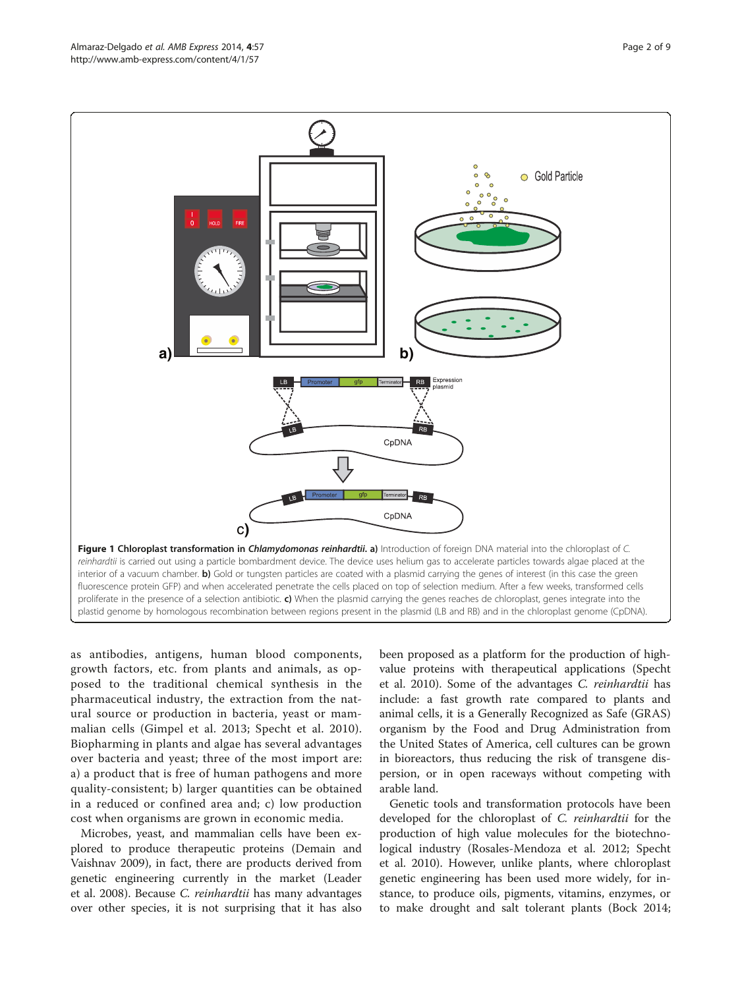<span id="page-1-0"></span>

as antibodies, antigens, human blood components, growth factors, etc. from plants and animals, as opposed to the traditional chemical synthesis in the pharmaceutical industry, the extraction from the natural source or production in bacteria, yeast or mammalian cells (Gimpel et al. [2013](#page-7-0); Specht et al. [2010\)](#page-8-0). Biopharming in plants and algae has several advantages over bacteria and yeast; three of the most import are: a) a product that is free of human pathogens and more quality-consistent; b) larger quantities can be obtained in a reduced or confined area and; c) low production cost when organisms are grown in economic media.

Microbes, yeast, and mammalian cells have been explored to produce therapeutic proteins (Demain and Vaishnav [2009](#page-7-0)), in fact, there are products derived from genetic engineering currently in the market (Leader et al. [2008\)](#page-7-0). Because C. reinhardtii has many advantages over other species, it is not surprising that it has also

been proposed as a platform for the production of highvalue proteins with therapeutical applications (Specht et al. [2010](#page-8-0)). Some of the advantages C. reinhardtii has include: a fast growth rate compared to plants and animal cells, it is a Generally Recognized as Safe (GRAS) organism by the Food and Drug Administration from the United States of America, cell cultures can be grown in bioreactors, thus reducing the risk of transgene dispersion, or in open raceways without competing with arable land.

Genetic tools and transformation protocols have been developed for the chloroplast of C. reinhardtii for the production of high value molecules for the biotechnological industry (Rosales-Mendoza et al. [2012](#page-8-0); Specht et al. [2010](#page-8-0)). However, unlike plants, where chloroplast genetic engineering has been used more widely, for instance, to produce oils, pigments, vitamins, enzymes, or to make drought and salt tolerant plants (Bock [2014](#page-7-0);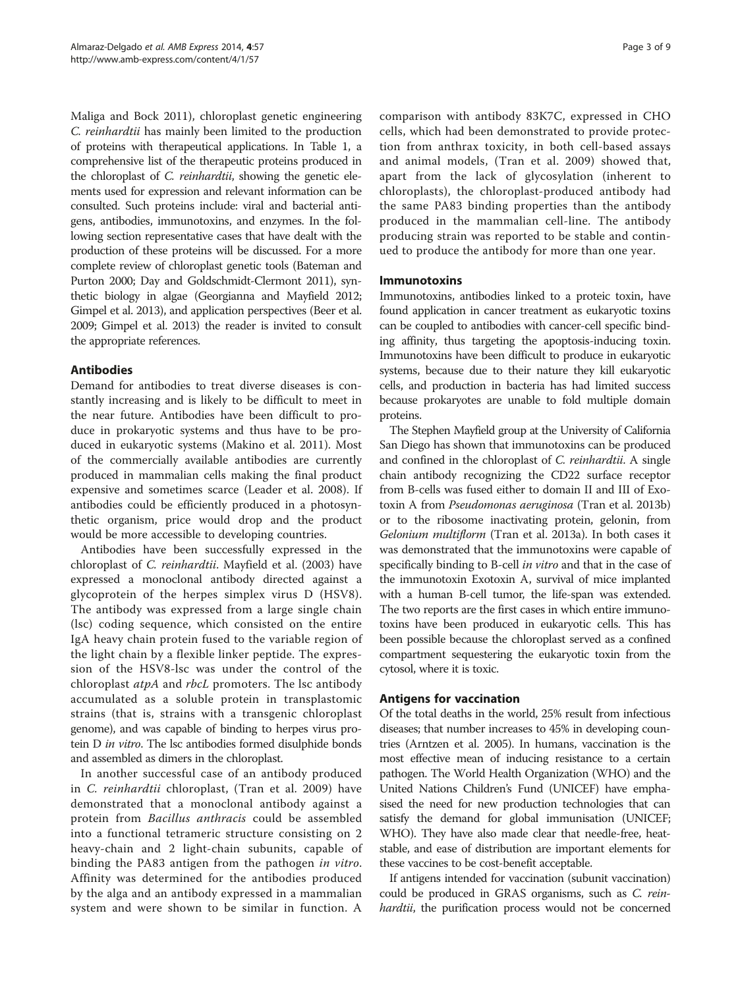Maliga and Bock [2011](#page-7-0)), chloroplast genetic engineering C. reinhardtii has mainly been limited to the production of proteins with therapeutical applications. In Table [1](#page-4-0), a comprehensive list of the therapeutic proteins produced in the chloroplast of C. reinhardtii, showing the genetic elements used for expression and relevant information can be consulted. Such proteins include: viral and bacterial antigens, antibodies, immunotoxins, and enzymes. In the following section representative cases that have dealt with the production of these proteins will be discussed. For a more complete review of chloroplast genetic tools (Bateman and Purton [2000;](#page-7-0) Day and Goldschmidt-Clermont [2011\)](#page-7-0), synthetic biology in algae (Georgianna and Mayfield [2012](#page-7-0); Gimpel et al. [2013](#page-7-0)), and application perspectives (Beer et al. [2009;](#page-7-0) Gimpel et al. [2013](#page-7-0)) the reader is invited to consult the appropriate references.

# **Antibodies**

Demand for antibodies to treat diverse diseases is constantly increasing and is likely to be difficult to meet in the near future. Antibodies have been difficult to produce in prokaryotic systems and thus have to be produced in eukaryotic systems (Makino et al. [2011](#page-7-0)). Most of the commercially available antibodies are currently produced in mammalian cells making the final product expensive and sometimes scarce (Leader et al. [2008](#page-7-0)). If antibodies could be efficiently produced in a photosynthetic organism, price would drop and the product would be more accessible to developing countries.

Antibodies have been successfully expressed in the chloroplast of C. reinhardtii. Mayfield et al. ([2003](#page-7-0)) have expressed a monoclonal antibody directed against a glycoprotein of the herpes simplex virus D (HSV8). The antibody was expressed from a large single chain (lsc) coding sequence, which consisted on the entire IgA heavy chain protein fused to the variable region of the light chain by a flexible linker peptide. The expression of the HSV8-lsc was under the control of the chloroplast *atpA* and *rbcL* promoters. The lsc antibody accumulated as a soluble protein in transplastomic strains (that is, strains with a transgenic chloroplast genome), and was capable of binding to herpes virus protein D in vitro. The lsc antibodies formed disulphide bonds and assembled as dimers in the chloroplast.

In another successful case of an antibody produced in C. reinhardtii chloroplast, (Tran et al. [2009\)](#page-8-0) have demonstrated that a monoclonal antibody against a protein from Bacillus anthracis could be assembled into a functional tetrameric structure consisting on 2 heavy-chain and 2 light-chain subunits, capable of binding the PA83 antigen from the pathogen in vitro. Affinity was determined for the antibodies produced by the alga and an antibody expressed in a mammalian system and were shown to be similar in function. A

comparison with antibody 83K7C, expressed in CHO cells, which had been demonstrated to provide protection from anthrax toxicity, in both cell-based assays and animal models, (Tran et al. [2009](#page-8-0)) showed that, apart from the lack of glycosylation (inherent to chloroplasts), the chloroplast-produced antibody had the same PA83 binding properties than the antibody produced in the mammalian cell-line. The antibody producing strain was reported to be stable and continued to produce the antibody for more than one year.

# Immunotoxins

Immunotoxins, antibodies linked to a proteic toxin, have found application in cancer treatment as eukaryotic toxins can be coupled to antibodies with cancer-cell specific binding affinity, thus targeting the apoptosis-inducing toxin. Immunotoxins have been difficult to produce in eukaryotic systems, because due to their nature they kill eukaryotic cells, and production in bacteria has had limited success because prokaryotes are unable to fold multiple domain proteins.

The Stephen Mayfield group at the University of California San Diego has shown that immunotoxins can be produced and confined in the chloroplast of C. reinhardtii. A single chain antibody recognizing the CD22 surface receptor from B-cells was fused either to domain II and III of Exo-toxin A from Pseudomonas aeruginosa (Tran et al. [2013b](#page-8-0)) or to the ribosome inactivating protein, gelonin, from Gelonium multiflorm (Tran et al. [2013a\)](#page-8-0). In both cases it was demonstrated that the immunotoxins were capable of specifically binding to B-cell in vitro and that in the case of the immunotoxin Exotoxin A, survival of mice implanted with a human B-cell tumor, the life-span was extended. The two reports are the first cases in which entire immunotoxins have been produced in eukaryotic cells. This has been possible because the chloroplast served as a confined compartment sequestering the eukaryotic toxin from the cytosol, where it is toxic.

# Antigens for vaccination

Of the total deaths in the world, 25% result from infectious diseases; that number increases to 45% in developing countries (Arntzen et al. [2005\)](#page-7-0). In humans, vaccination is the most effective mean of inducing resistance to a certain pathogen. The World Health Organization [\(WHO\)](#page-8-0) and the United Nations Children's Fund [\(UNICEF](#page-8-0)) have emphasised the need for new production technologies that can satisfy the demand for global immunisation [\(UNICEF](#page-8-0); [WHO](#page-8-0)). They have also made clear that needle-free, heatstable, and ease of distribution are important elements for these vaccines to be cost-benefit acceptable.

If antigens intended for vaccination (subunit vaccination) could be produced in GRAS organisms, such as C. reinhardtii, the purification process would not be concerned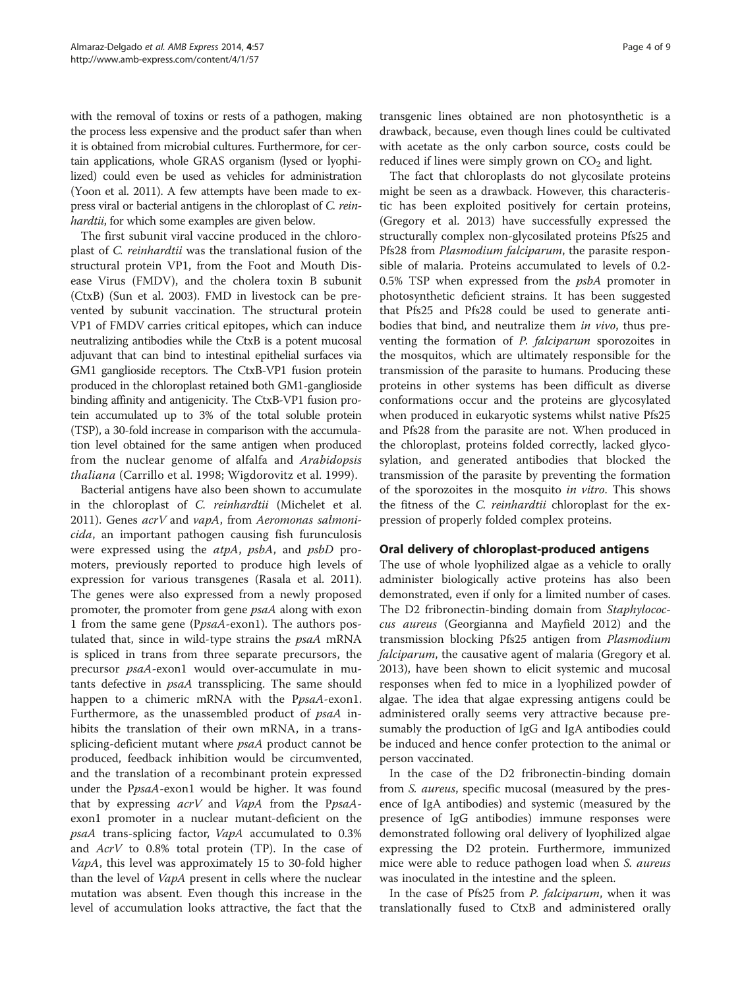with the removal of toxins or rests of a pathogen, making the process less expensive and the product safer than when it is obtained from microbial cultures. Furthermore, for certain applications, whole GRAS organism (lysed or lyophilized) could even be used as vehicles for administration (Yoon et al. [2011\)](#page-8-0). A few attempts have been made to express viral or bacterial antigens in the chloroplast of C. reinhardtii, for which some examples are given below.

The first subunit viral vaccine produced in the chloroplast of C. reinhardtii was the translational fusion of the structural protein VP1, from the Foot and Mouth Disease Virus (FMDV), and the cholera toxin B subunit (CtxB) (Sun et al. [2003](#page-8-0)). FMD in livestock can be prevented by subunit vaccination. The structural protein VP1 of FMDV carries critical epitopes, which can induce neutralizing antibodies while the CtxB is a potent mucosal adjuvant that can bind to intestinal epithelial surfaces via GM1 ganglioside receptors. The CtxB-VP1 fusion protein produced in the chloroplast retained both GM1-ganglioside binding affinity and antigenicity. The CtxB-VP1 fusion protein accumulated up to 3% of the total soluble protein (TSP), a 30-fold increase in comparison with the accumulation level obtained for the same antigen when produced from the nuclear genome of alfalfa and Arabidopsis thaliana (Carrillo et al. [1998;](#page-7-0) Wigdorovitz et al. [1999\)](#page-8-0).

Bacterial antigens have also been shown to accumulate in the chloroplast of C. reinhardtii (Michelet et al. [2011](#page-7-0)). Genes acrV and vapA, from Aeromonas salmonicida, an important pathogen causing fish furunculosis were expressed using the *atpA*, *psbA*, and *psbD* promoters, previously reported to produce high levels of expression for various transgenes (Rasala et al. [2011](#page-7-0)). The genes were also expressed from a newly proposed promoter, the promoter from gene psaA along with exon 1 from the same gene (PpsaA-exon1). The authors postulated that, since in wild-type strains the psaA mRNA is spliced in trans from three separate precursors, the precursor psaA-exon1 would over-accumulate in mutants defective in psaA transsplicing. The same should happen to a chimeric mRNA with the PpsaA-exon1. Furthermore, as the unassembled product of psaA inhibits the translation of their own mRNA, in a transsplicing-deficient mutant where *psaA* product cannot be produced, feedback inhibition would be circumvented, and the translation of a recombinant protein expressed under the PpsaA-exon1 would be higher. It was found that by expressing acrV and VapA from the PpsaAexon1 promoter in a nuclear mutant-deficient on the psaA trans-splicing factor, VapA accumulated to 0.3% and AcrV to 0.8% total protein (TP). In the case of VapA, this level was approximately 15 to 30-fold higher than the level of VapA present in cells where the nuclear mutation was absent. Even though this increase in the level of accumulation looks attractive, the fact that the transgenic lines obtained are non photosynthetic is a drawback, because, even though lines could be cultivated with acetate as the only carbon source, costs could be reduced if lines were simply grown on  $CO<sub>2</sub>$  and light.

The fact that chloroplasts do not glycosilate proteins might be seen as a drawback. However, this characteristic has been exploited positively for certain proteins, (Gregory et al. [2013](#page-7-0)) have successfully expressed the structurally complex non-glycosilated proteins Pfs25 and Pfs28 from Plasmodium falciparum, the parasite responsible of malaria. Proteins accumulated to levels of 0.2- 0.5% TSP when expressed from the psbA promoter in photosynthetic deficient strains. It has been suggested that Pfs25 and Pfs28 could be used to generate antibodies that bind, and neutralize them in vivo, thus preventing the formation of P. falciparum sporozoites in the mosquitos, which are ultimately responsible for the transmission of the parasite to humans. Producing these proteins in other systems has been difficult as diverse conformations occur and the proteins are glycosylated when produced in eukaryotic systems whilst native Pfs25 and Pfs28 from the parasite are not. When produced in the chloroplast, proteins folded correctly, lacked glycosylation, and generated antibodies that blocked the transmission of the parasite by preventing the formation of the sporozoites in the mosquito in vitro. This shows the fitness of the C. reinhardtii chloroplast for the expression of properly folded complex proteins.

## Oral delivery of chloroplast-produced antigens

The use of whole lyophilized algae as a vehicle to orally administer biologically active proteins has also been demonstrated, even if only for a limited number of cases. The D2 fribronectin-binding domain from Staphylococcus aureus (Georgianna and Mayfield [2012](#page-7-0)) and the transmission blocking Pfs25 antigen from Plasmodium falciparum, the causative agent of malaria (Gregory et al. [2013](#page-7-0)), have been shown to elicit systemic and mucosal responses when fed to mice in a lyophilized powder of algae. The idea that algae expressing antigens could be administered orally seems very attractive because presumably the production of IgG and IgA antibodies could be induced and hence confer protection to the animal or person vaccinated.

In the case of the D2 fribronectin-binding domain from *S. aureus*, specific mucosal (measured by the presence of IgA antibodies) and systemic (measured by the presence of IgG antibodies) immune responses were demonstrated following oral delivery of lyophilized algae expressing the D2 protein. Furthermore, immunized mice were able to reduce pathogen load when S. aureus was inoculated in the intestine and the spleen.

In the case of Pfs25 from *P. falciparum*, when it was translationally fused to CtxB and administered orally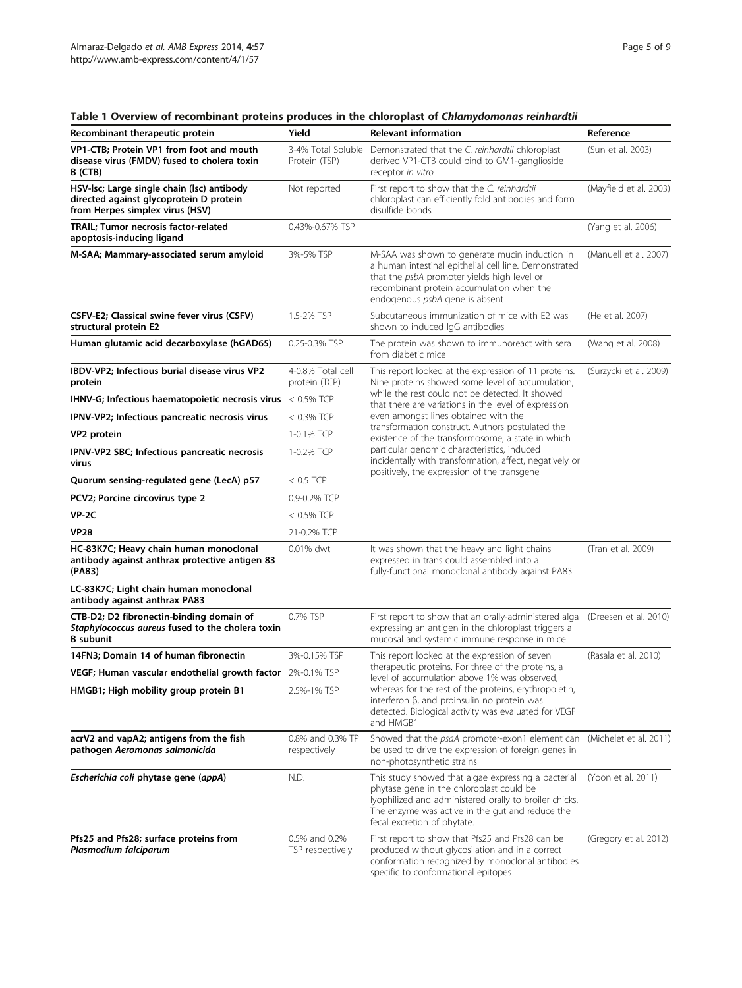<span id="page-4-0"></span>

| Table 1 Overview of recombinant proteins produces in the chloroplast of Chlamydomonas reinhardtii |  |
|---------------------------------------------------------------------------------------------------|--|
|---------------------------------------------------------------------------------------------------|--|

| Recombinant therapeutic protein                                                                                          | Yield                              | <b>Relevant information</b>                                                                                                                                                                                                                 | Reference              |
|--------------------------------------------------------------------------------------------------------------------------|------------------------------------|---------------------------------------------------------------------------------------------------------------------------------------------------------------------------------------------------------------------------------------------|------------------------|
| VP1-CTB; Protein VP1 from foot and mouth<br>disease virus (FMDV) fused to cholera toxin<br>B (CTB)                       | Protein (TSP)                      | 3-4% Total Soluble Demonstrated that the C. reinhardtii chloroplast<br>derived VP1-CTB could bind to GM1-ganglioside<br>receptor in vitro                                                                                                   | (Sun et al. 2003)      |
| HSV-lsc; Large single chain (lsc) antibody<br>directed against glycoprotein D protein<br>from Herpes simplex virus (HSV) | Not reported                       | First report to show that the C. reinhardtii<br>chloroplast can efficiently fold antibodies and form<br>disulfide bonds                                                                                                                     | (Mayfield et al. 2003) |
| TRAIL; Tumor necrosis factor-related<br>apoptosis-inducing ligand                                                        | 0.43%-0.67% TSP                    |                                                                                                                                                                                                                                             | (Yang et al. 2006)     |
| M-SAA; Mammary-associated serum amyloid                                                                                  | 3%-5% TSP                          | M-SAA was shown to generate mucin induction in<br>a human intestinal epithelial cell line. Demonstrated<br>that the psbA promoter yields high level or<br>recombinant protein accumulation when the<br>endogenous psbA gene is absent       | (Manuell et al. 2007)  |
| CSFV-E2; Classical swine fever virus (CSFV)<br>structural protein E2                                                     | 1.5-2% TSP                         | Subcutaneous immunization of mice with E2 was<br>shown to induced IgG antibodies                                                                                                                                                            | (He et al. 2007)       |
| Human glutamic acid decarboxylase (hGAD65)                                                                               | 0.25-0.3% TSP                      | The protein was shown to immunoreact with sera<br>from diabetic mice                                                                                                                                                                        | (Wang et al. 2008)     |
| IBDV-VP2; Infectious burial disease virus VP2<br>protein                                                                 | 4-0.8% Total cell<br>protein (TCP) | This report looked at the expression of 11 proteins.<br>Nine proteins showed some level of accumulation,                                                                                                                                    | (Surzycki et al. 2009) |
| <b>IHNV-G; Infectious haematopoietic necrosis virus &lt; 0.5% TCP</b>                                                    |                                    | while the rest could not be detected. It showed<br>that there are variations in the level of expression                                                                                                                                     |                        |
| IPNV-VP2; Infectious pancreatic necrosis virus                                                                           | $< 0.3\%$ TCP                      | even amongst lines obtained with the                                                                                                                                                                                                        |                        |
| VP2 protein                                                                                                              | 1-0.1% TCP                         | transformation construct. Authors postulated the<br>existence of the transformosome, a state in which                                                                                                                                       |                        |
| IPNV-VP2 SBC; Infectious pancreatic necrosis<br>virus                                                                    | 1-0.2% TCP                         | particular genomic characteristics, induced<br>incidentally with transformation, affect, negatively or                                                                                                                                      |                        |
| Quorum sensing-regulated gene (LecA) p57                                                                                 | $<$ 0.5 TCP                        | positively, the expression of the transgene                                                                                                                                                                                                 |                        |
| PCV2; Porcine circovirus type 2                                                                                          | 0.9-0.2% TCP                       |                                                                                                                                                                                                                                             |                        |
| $VP-2C$                                                                                                                  | $< 0.5\%$ TCP                      |                                                                                                                                                                                                                                             |                        |
| <b>VP28</b>                                                                                                              | 21-0.2% TCP                        |                                                                                                                                                                                                                                             |                        |
| HC-83K7C; Heavy chain human monoclonal<br>antibody against anthrax protective antigen 83<br>(PA83)                       | 0.01% dwt                          | It was shown that the heavy and light chains<br>expressed in trans could assembled into a<br>fully-functional monoclonal antibody against PA83                                                                                              | (Tran et al. 2009)     |
| LC-83K7C; Light chain human monoclonal<br>antibody against anthrax PA83                                                  |                                    |                                                                                                                                                                                                                                             |                        |
| CTB-D2; D2 fibronectin-binding domain of<br>Staphylococcus aureus fused to the cholera toxin<br><b>B</b> subunit         | 0.7% TSP                           | First report to show that an orally-administered alga<br>expressing an antigen in the chloroplast triggers a<br>mucosal and systemic immune response in mice                                                                                | (Dreesen et al. 2010)  |
| 14FN3; Domain 14 of human fibronectin                                                                                    | 3%-0.15% TSP                       | This report looked at the expression of seven                                                                                                                                                                                               | (Rasala et al. 2010)   |
| VEGF; Human vascular endothelial growth factor 2%-0.1% TSP                                                               |                                    | therapeutic proteins. For three of the proteins, a<br>level of accumulation above 1% was observed,                                                                                                                                          |                        |
| HMGB1; High mobility group protein B1                                                                                    | 2.5%-1% TSP                        | whereas for the rest of the proteins, erythropoietin,<br>interferon $\beta$ , and proinsulin no protein was<br>detected. Biological activity was evaluated for VEGF<br>and HMGB1                                                            |                        |
| acrV2 and vapA2; antigens from the fish<br>pathogen Aeromonas salmonicida                                                | 0.8% and 0.3% TP<br>respectively   | Showed that the psaA promoter-exon1 element can (Michelet et al. 2011)<br>be used to drive the expression of foreign genes in<br>non-photosynthetic strains                                                                                 |                        |
| Escherichia coli phytase gene (appA)                                                                                     | N.D.                               | This study showed that algae expressing a bacterial<br>phytase gene in the chloroplast could be<br>lyophilized and administered orally to broiler chicks.<br>The enzyme was active in the gut and reduce the<br>fecal excretion of phytate. | (Yoon et al. 2011)     |
| Pfs25 and Pfs28; surface proteins from<br>Plasmodium falciparum                                                          | 0.5% and 0.2%<br>TSP respectively  | First report to show that Pfs25 and Pfs28 can be<br>produced without glycosilation and in a correct<br>conformation recognized by monoclonal antibodies<br>specific to conformational epitopes                                              | (Gregory et al. 2012)  |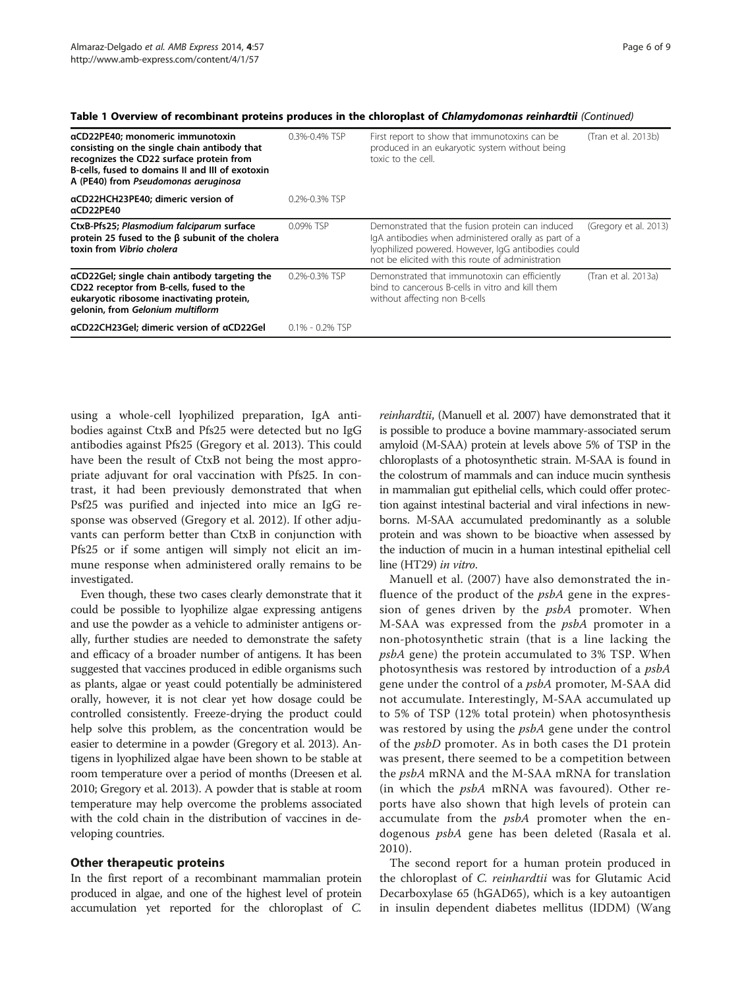| αCD22PE40; monomeric immunotoxin<br>consisting on the single chain antibody that<br>recognizes the CD22 surface protein from<br>B-cells, fused to domains II and III of exotoxin<br>A (PE40) from Pseudomonas aeruginosa | $0.3\% - 0.4\%$ TSP | First report to show that immunotoxins can be<br>produced in an eukaryotic system without being<br>toxic to the cell.                                                                                               | (Tran et al. 2013b)   |
|--------------------------------------------------------------------------------------------------------------------------------------------------------------------------------------------------------------------------|---------------------|---------------------------------------------------------------------------------------------------------------------------------------------------------------------------------------------------------------------|-----------------------|
| aCD22HCH23PE40; dimeric version of<br>$\alpha$ CD22PE40                                                                                                                                                                  | $0.2\% - 0.3\%$ TSP |                                                                                                                                                                                                                     |                       |
| CtxB-Pfs25; Plasmodium falciparum surface<br>protein 25 fused to the $\beta$ subunit of the cholera<br>toxin from Vibrio cholera                                                                                         | 0.09% TSP           | Demonstrated that the fusion protein can induced<br>IgA antibodies when administered orally as part of a<br>lyophilized powered. However, IgG antibodies could<br>not be elicited with this route of administration | (Gregory et al. 2013) |
| aCD22Gel; single chain antibody targeting the<br>CD22 receptor from B-cells, fused to the<br>eukaryotic ribosome inactivating protein,<br>gelonin, from Gelonium multiflorm                                              | 0.2%-0.3% TSP       | Demonstrated that immunotoxin can efficiently<br>bind to cancerous B-cells in vitro and kill them<br>without affecting non B-cells                                                                                  | (Tran et al. 2013a)   |
| aCD22CH23Gel; dimeric version of aCD22Gel                                                                                                                                                                                | $0.1\% - 0.2\%$ TSP |                                                                                                                                                                                                                     |                       |

#### Table 1 Overview of recombinant proteins produces in the chloroplast of Chlamydomonas reinhardtii (Continued)

using a whole-cell lyophilized preparation, IgA antibodies against CtxB and Pfs25 were detected but no IgG antibodies against Pfs25 (Gregory et al. [2013\)](#page-7-0). This could have been the result of CtxB not being the most appropriate adjuvant for oral vaccination with Pfs25. In contrast, it had been previously demonstrated that when Psf25 was purified and injected into mice an IgG response was observed (Gregory et al. [2012](#page-7-0)). If other adjuvants can perform better than CtxB in conjunction with Pfs25 or if some antigen will simply not elicit an immune response when administered orally remains to be investigated.

Even though, these two cases clearly demonstrate that it could be possible to lyophilize algae expressing antigens and use the powder as a vehicle to administer antigens orally, further studies are needed to demonstrate the safety and efficacy of a broader number of antigens. It has been suggested that vaccines produced in edible organisms such as plants, algae or yeast could potentially be administered orally, however, it is not clear yet how dosage could be controlled consistently. Freeze-drying the product could help solve this problem, as the concentration would be easier to determine in a powder (Gregory et al. [2013\)](#page-7-0). Antigens in lyophilized algae have been shown to be stable at room temperature over a period of months (Dreesen et al. [2010;](#page-7-0) Gregory et al. [2013](#page-7-0)). A powder that is stable at room temperature may help overcome the problems associated with the cold chain in the distribution of vaccines in developing countries.

# Other therapeutic proteins

In the first report of a recombinant mammalian protein produced in algae, and one of the highest level of protein accumulation yet reported for the chloroplast of C.

reinhardtii, (Manuell et al. [2007\)](#page-7-0) have demonstrated that it is possible to produce a bovine mammary-associated serum amyloid (M-SAA) protein at levels above 5% of TSP in the chloroplasts of a photosynthetic strain. M-SAA is found in the colostrum of mammals and can induce mucin synthesis in mammalian gut epithelial cells, which could offer protection against intestinal bacterial and viral infections in newborns. M-SAA accumulated predominantly as a soluble protein and was shown to be bioactive when assessed by the induction of mucin in a human intestinal epithelial cell line (HT29) in vitro.

Manuell et al. ([2007](#page-7-0)) have also demonstrated the influence of the product of the psbA gene in the expression of genes driven by the psbA promoter. When M-SAA was expressed from the psbA promoter in a non-photosynthetic strain (that is a line lacking the psbA gene) the protein accumulated to 3% TSP. When photosynthesis was restored by introduction of a psbA gene under the control of a psbA promoter, M-SAA did not accumulate. Interestingly, M-SAA accumulated up to 5% of TSP (12% total protein) when photosynthesis was restored by using the *psbA* gene under the control of the *psbD* promoter. As in both cases the D1 protein was present, there seemed to be a competition between the *psbA* mRNA and the M-SAA mRNA for translation (in which the psbA mRNA was favoured). Other reports have also shown that high levels of protein can accumulate from the *psbA* promoter when the endogenous psbA gene has been deleted (Rasala et al. [2010](#page-7-0)).

The second report for a human protein produced in the chloroplast of C. reinhardtii was for Glutamic Acid Decarboxylase 65 (hGAD65), which is a key autoantigen in insulin dependent diabetes mellitus (IDDM) (Wang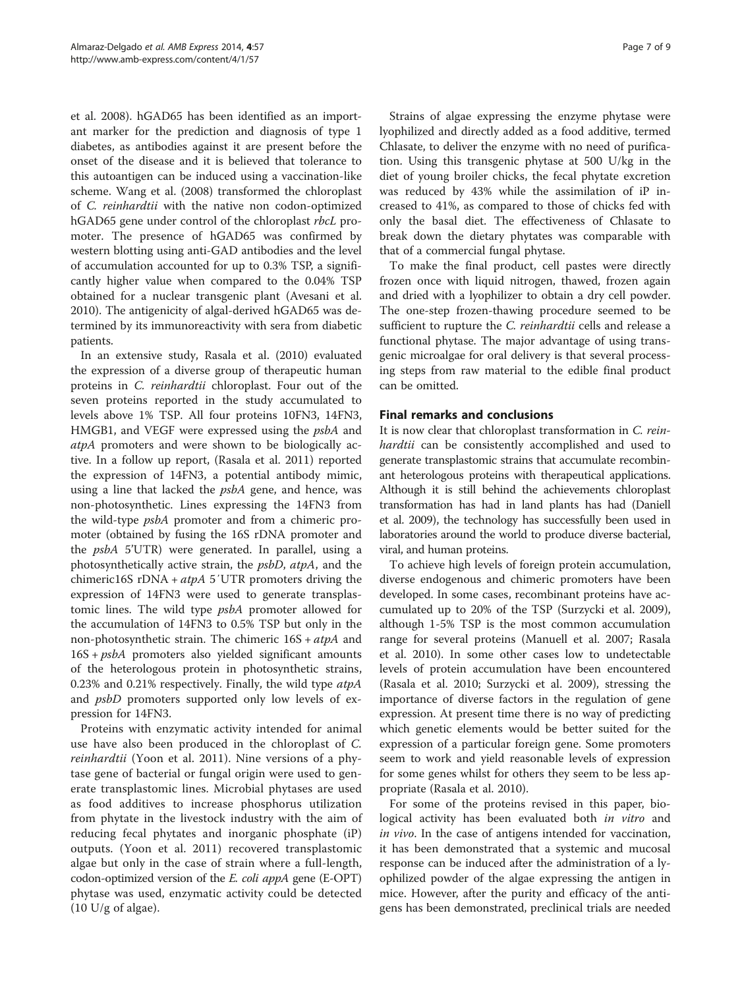et al. [2008\)](#page-8-0). hGAD65 has been identified as an important marker for the prediction and diagnosis of type 1 diabetes, as antibodies against it are present before the onset of the disease and it is believed that tolerance to this autoantigen can be induced using a vaccination-like scheme. Wang et al. [\(2008\)](#page-8-0) transformed the chloroplast of C. reinhardtii with the native non codon-optimized hGAD65 gene under control of the chloroplast rbcL promoter. The presence of hGAD65 was confirmed by western blotting using anti-GAD antibodies and the level of accumulation accounted for up to 0.3% TSP, a significantly higher value when compared to the 0.04% TSP obtained for a nuclear transgenic plant (Avesani et al. [2010](#page-7-0)). The antigenicity of algal-derived hGAD65 was determined by its immunoreactivity with sera from diabetic patients.

In an extensive study, Rasala et al. [\(2010](#page-7-0)) evaluated the expression of a diverse group of therapeutic human proteins in C. reinhardtii chloroplast. Four out of the seven proteins reported in the study accumulated to levels above 1% TSP. All four proteins 10FN3, 14FN3, HMGB1, and VEGF were expressed using the *psbA* and atpA promoters and were shown to be biologically active. In a follow up report, (Rasala et al. [2011\)](#page-7-0) reported the expression of 14FN3, a potential antibody mimic, using a line that lacked the psbA gene, and hence, was non-photosynthetic. Lines expressing the 14FN3 from the wild-type psbA promoter and from a chimeric promoter (obtained by fusing the 16S rDNA promoter and the psbA 5'UTR) were generated. In parallel, using a photosynthetically active strain, the psbD, atpA, and the chimeric16S  $rDNA + atpA 5'UTR$  promoters driving the expression of 14FN3 were used to generate transplastomic lines. The wild type psbA promoter allowed for the accumulation of 14FN3 to 0.5% TSP but only in the non-photosynthetic strain. The chimeric  $16S + atpA$  and  $16S + psbA$  promoters also yielded significant amounts of the heterologous protein in photosynthetic strains, 0.23% and 0.21% respectively. Finally, the wild type  $atpA$ and *psbD* promoters supported only low levels of expression for 14FN3.

Proteins with enzymatic activity intended for animal use have also been produced in the chloroplast of C. reinhardtii (Yoon et al. [2011](#page-8-0)). Nine versions of a phytase gene of bacterial or fungal origin were used to generate transplastomic lines. Microbial phytases are used as food additives to increase phosphorus utilization from phytate in the livestock industry with the aim of reducing fecal phytates and inorganic phosphate (iP) outputs. (Yoon et al. [2011\)](#page-8-0) recovered transplastomic algae but only in the case of strain where a full-length, codon-optimized version of the  $E$ . *coli appA* gene  $(E$ -OPT) phytase was used, enzymatic activity could be detected (10 U/g of algae).

Strains of algae expressing the enzyme phytase were lyophilized and directly added as a food additive, termed Chlasate, to deliver the enzyme with no need of purification. Using this transgenic phytase at 500 U/kg in the diet of young broiler chicks, the fecal phytate excretion was reduced by 43% while the assimilation of iP increased to 41%, as compared to those of chicks fed with only the basal diet. The effectiveness of Chlasate to break down the dietary phytates was comparable with that of a commercial fungal phytase.

To make the final product, cell pastes were directly frozen once with liquid nitrogen, thawed, frozen again and dried with a lyophilizer to obtain a dry cell powder. The one-step frozen-thawing procedure seemed to be sufficient to rupture the *C. reinhardtii* cells and release a functional phytase. The major advantage of using transgenic microalgae for oral delivery is that several processing steps from raw material to the edible final product can be omitted.

# Final remarks and conclusions

It is now clear that chloroplast transformation in C. reinhardtii can be consistently accomplished and used to generate transplastomic strains that accumulate recombinant heterologous proteins with therapeutical applications. Although it is still behind the achievements chloroplast transformation has had in land plants has had (Daniell et al. [2009](#page-7-0)), the technology has successfully been used in laboratories around the world to produce diverse bacterial, viral, and human proteins.

To achieve high levels of foreign protein accumulation, diverse endogenous and chimeric promoters have been developed. In some cases, recombinant proteins have accumulated up to 20% of the TSP (Surzycki et al. [2009](#page-8-0)), although 1-5% TSP is the most common accumulation range for several proteins (Manuell et al. [2007;](#page-7-0) Rasala et al. [2010\)](#page-7-0). In some other cases low to undetectable levels of protein accumulation have been encountered (Rasala et al. [2010;](#page-7-0) Surzycki et al. [2009\)](#page-8-0), stressing the importance of diverse factors in the regulation of gene expression. At present time there is no way of predicting which genetic elements would be better suited for the expression of a particular foreign gene. Some promoters seem to work and yield reasonable levels of expression for some genes whilst for others they seem to be less appropriate (Rasala et al. [2010](#page-7-0)).

For some of the proteins revised in this paper, biological activity has been evaluated both *in vitro* and in vivo. In the case of antigens intended for vaccination, it has been demonstrated that a systemic and mucosal response can be induced after the administration of a lyophilized powder of the algae expressing the antigen in mice. However, after the purity and efficacy of the antigens has been demonstrated, preclinical trials are needed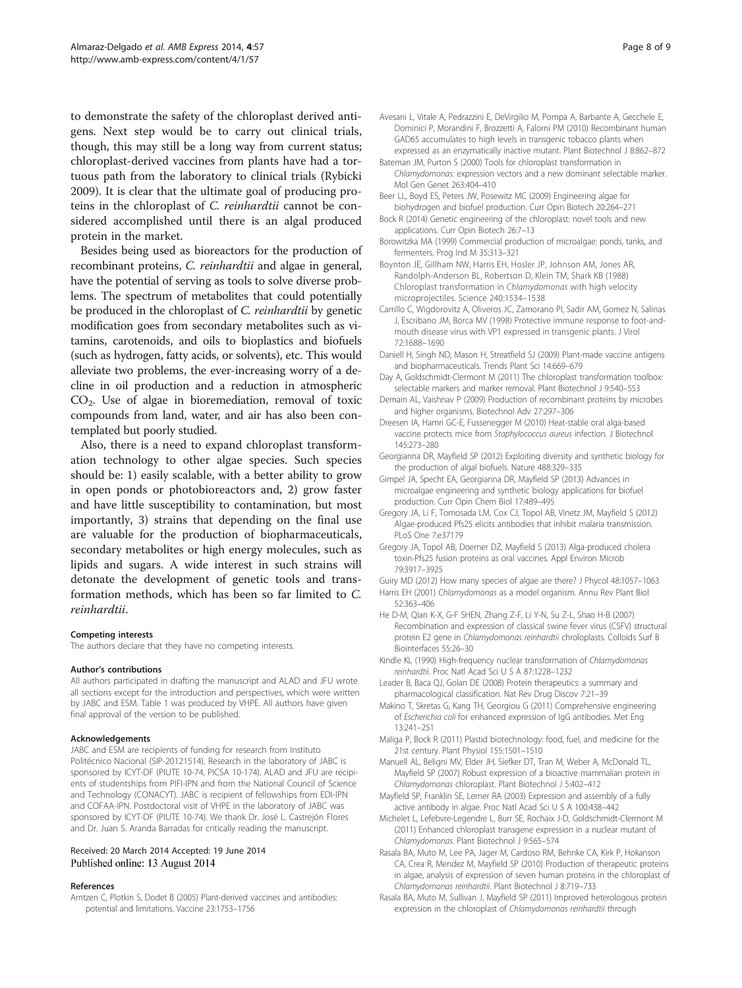<span id="page-7-0"></span>to demonstrate the safety of the chloroplast derived antigens. Next step would be to carry out clinical trials, though, this may still be a long way from current status; chloroplast-derived vaccines from plants have had a tortuous path from the laboratory to clinical trials (Rybicki [2009](#page-8-0)). It is clear that the ultimate goal of producing proteins in the chloroplast of C. reinhardtii cannot be considered accomplished until there is an algal produced protein in the market.

Besides being used as bioreactors for the production of recombinant proteins, C. reinhardtii and algae in general, have the potential of serving as tools to solve diverse problems. The spectrum of metabolites that could potentially be produced in the chloroplast of C. reinhardtii by genetic modification goes from secondary metabolites such as vitamins, carotenoids, and oils to bioplastics and biofuels (such as hydrogen, fatty acids, or solvents), etc. This would alleviate two problems, the ever-increasing worry of a decline in oil production and a reduction in atmospheric  $CO<sub>2</sub>$ . Use of algae in bioremediation, removal of toxic compounds from land, water, and air has also been contemplated but poorly studied.

Also, there is a need to expand chloroplast transformation technology to other algae species. Such species should be: 1) easily scalable, with a better ability to grow in open ponds or photobioreactors and, 2) grow faster and have little susceptibility to contamination, but most importantly, 3) strains that depending on the final use are valuable for the production of biopharmaceuticals, secondary metabolites or high energy molecules, such as lipids and sugars. A wide interest in such strains will detonate the development of genetic tools and transformation methods, which has been so far limited to C. reinhardtii.

#### Competing interests

The authors declare that they have no competing interests.

#### Author's contributions

All authors participated in drafting the manuscript and ALAD and JFU wrote all sections except for the introduction and perspectives, which were written by JABC and ESM. Table [1](#page-4-0) was produced by VHPE. All authors have given final approval of the version to be published.

#### Acknowledgements

JABC and ESM are recipients of funding for research from Instituto Politécnico Nacional (SIP-20121514). Research in the laboratory of JABC is sponsored by ICYT-DF (PIUTE 10-74, PICSA 10-174). ALAD and JFU are recipients of studentships from PIFI-IPN and from the National Council of Science and Technology (CONACYT). JABC is recipient of fellowships from EDI-IPN and COFAA-IPN. Postdoctoral visit of VHPE in the laboratory of JABC was sponsored by ICYT-DF (PIUTE 10-74). We thank Dr. José L. Castrejón Flores and Dr. Juan S. Aranda Barradas for critically reading the manuscript.

#### Received: 20 March 2014 Accepted: 19 June 2014 Published online: 13 August 2014

#### References

Arntzen C, Plotkin S, Dodet B (2005) Plant-derived vaccines and antibodies: potential and limitations. Vaccine 23:1753–1756

- Avesani L, Vitale A, Pedrazzini E, DeVirgilio M, Pompa A, Barbante A, Gecchele E, Dominici P, Morandini F, Brozzetti A, Falorni PM (2010) Recombinant human GAD65 accumulates to high levels in transgenic tobacco plants when expressed as an enzymatically inactive mutant. Plant Biotechnol J 8:862–872
- Bateman JM, Purton S (2000) Tools for chloroplast transformation in Chlamydomonas: expression vectors and a new dominant selectable marker. Mol Gen Genet 263:404–410
- Beer LL, Boyd ES, Peters JW, Posewitz MC (2009) Engineering algae for biohydrogen and biofuel production. Curr Opin Biotech 20:264–271
- Bock R (2014) Genetic engineering of the chloroplast: novel tools and new applications. Curr Opin Biotech 26:7–13
- Borowitzka MA (1999) Commercial production of microalgae: ponds, tanks, and fermenters. Prog Ind M 35:313–321
- Boynton JE, Gillham NW, Harris EH, Hosler JP, Johnson AM, Jones AR, Randolph-Anderson BL, Robertson D, Klein TM, Shark KB (1988) Chloroplast transformation in Chlamydomonas with high velocity microprojectiles. Science 240:1534–1538
- Carrillo C, Wigdorovitz A, Oliveros JC, Zamorano PI, Sadir AM, Gomez N, Salinas J, Escribano JM, Borca MV (1998) Protective immune response to foot-andmouth disease virus with VP1 expressed in transgenic plants. J Virol 72:1688–1690
- Daniell H, Singh ND, Mason H, Streatfield SJ (2009) Plant-made vaccine antigens and biopharmaceuticals. Trends Plant Sci 14:669–679
- Day A, Goldschmidt-Clermont M (2011) The chloroplast transformation toolbox: selectable markers and marker removal. Plant Biotechnol J 9:540–553
- Demain AL, Vaishnav P (2009) Production of recombinant proteins by microbes and higher organisms. Biotechnol Adv 27:297–306
- Dreesen IA, Hamri GC-E, Fussenegger M (2010) Heat-stable oral alga-based vaccine protects mice from Staphylococcus aureus infection. J Biotechnol 145:273–280
- Georgianna DR, Mayfield SP (2012) Exploiting diversity and synthetic biology for the production of algal biofuels. Nature 488:329–335
- Gimpel JA, Specht EA, Georgianna DR, Mayfield SP (2013) Advances in microalgae engineering and synthetic biology applications for biofuel production. Curr Opin Chem Biol 17:489–495
- Gregory JA, Li F, Tomosada LM, Cox CJ, Topol AB, Vinetz JM, Mayfield S (2012) Algae-produced Pfs25 elicits antibodies that inhibit malaria transmission. PLoS One 7:e37179
- Gregory JA, Topol AB, Doerner DZ, Mayfield S (2013) Alga-produced cholera toxin-Pfs25 fusion proteins as oral vaccines. Appl Environ Microb 79:3917–3925
- Guiry MD (2012) How many species of algae are there? J Phycol 48:1057–1063
- Harris EH (2001) Chlamydomonas as a model organism. Annu Rev Plant Biol 52:363–406
- He D-M, Qian K-X, G-F SHEN, Zhang Z-F, Li Y-N, Su Z-L, Shao H-B (2007) Recombination and expression of classical swine fever virus (CSFV) structural protein E2 gene in Chlamydomonas reinhardtii chroloplasts. Colloids Surf B Biointerfaces 55:26–30
- Kindle KL (1990) High-frequency nuclear transformation of Chlamydomonas reinhardtii. Proc Natl Acad Sci U S A 87:1228–1232
- Leader B, Baca QJ, Golan DE (2008) Protein therapeutics: a summary and pharmacological classification. Nat Rev Drug Discov 7:21–39
- Makino T, Skretas G, Kang TH, Georgiou G (2011) Comprehensive engineering of Escherichia coli for enhanced expression of IgG antibodies. Met Eng 13:241–251
- Maliga P, Bock R (2011) Plastid biotechnology: food, fuel, and medicine for the 21st century. Plant Physiol 155:1501–1510
- Manuell AL, Beligni MV, Elder JH, Siefker DT, Tran M, Weber A, McDonald TL, Mayfield SP (2007) Robust expression of a bioactive mammalian protein in Chlamydomonas chloroplast. Plant Biotechnol J 5:402–412
- Mayfield SP, Franklin SE, Lerner RA (2003) Expression and assembly of a fully active antibody in algae. Proc Natl Acad Sci U S A 100:438–442
- Michelet L, Lefebvre-Legendre L, Burr SE, Rochaix J-D, Goldschmidt-Clermont M (2011) Enhanced chloroplast transgene expression in a nuclear mutant of Chlamydomonas. Plant Biotechnol J 9:565–574
- Rasala BA, Muto M, Lee PA, Jager M, Cardoso RM, Behnke CA, Kirk P, Hokanson CA, Crea R, Mendez M, Mayfield SP (2010) Production of therapeutic proteins in algae, analysis of expression of seven human proteins in the chloroplast of Chlamydomonas reinhardtii. Plant Biotechnol J 8:719–733
- Rasala BA, Muto M, Sullivan J, Mayfield SP (2011) Improved heterologous protein expression in the chloroplast of Chlamydomonas reinhardtii through